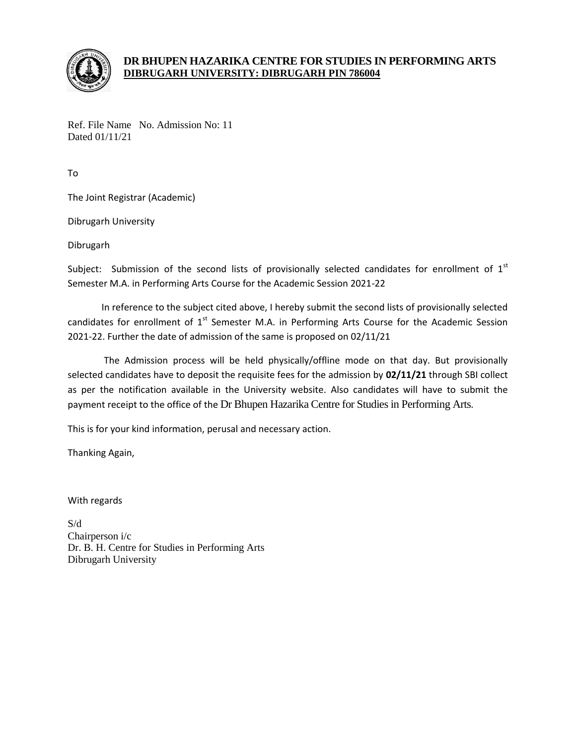

## **DR BHUPEN HAZARIKA CENTRE FOR STUDIES IN PERFORMING ARTS DIBRUGARH UNIVERSITY: DIBRUGARH PIN 786004**

Ref. File Name No. Admission No: 11 Dated 01/11/21

To

The Joint Registrar (Academic)

Dibrugarh University

Dibrugarh

Subject: Submission of the second lists of provisionally selected candidates for enrollment of  $1<sup>st</sup>$ Semester M.A. in Performing Arts Course for the Academic Session 2021-22

In reference to the subject cited above, I hereby submit the second lists of provisionally selected candidates for enrollment of  $1<sup>st</sup>$  Semester M.A. in Performing Arts Course for the Academic Session 2021-22. Further the date of admission of the same is proposed on 02/11/21

The Admission process will be held physically/offline mode on that day. But provisionally selected candidates have to deposit the requisite fees for the admission by **02/11/21** through SBI collect as per the notification available in the University website. Also candidates will have to submit the payment receipt to the office of the Dr Bhupen Hazarika Centre for Studies in Performing Arts.

This is for your kind information, perusal and necessary action.

Thanking Again,

With regards

S/d Chairperson i/c Dr. B. H. Centre for Studies in Performing Arts Dibrugarh University